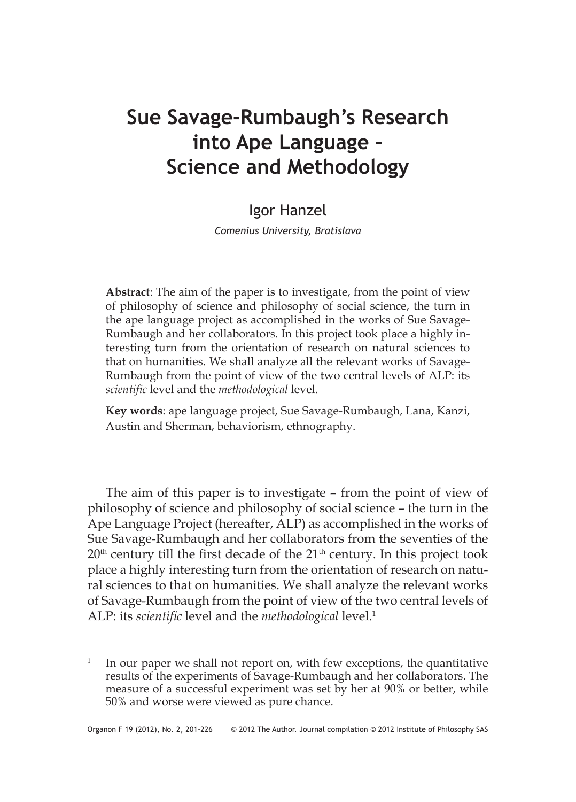# **Sue Savage-Rumbaugh's Research into Ape Language – Science and Methodology**

# Igor Hanzel

*Comenius University, Bratislava*

**Abstract**: The aim of the paper is to investigate, from the point of view of philosophy of science and philosophy of social science, the turn in the ape language project as accomplished in the works of Sue Savage-Rumbaugh and her collaborators. In this project took place a highly interesting turn from the orientation of research on natural sciences to that on humanities. We shall analyze all the relevant works of Savage-Rumbaugh from the point of view of the two central levels of ALP: its *scientific* level and the *methodological* level.

**Key words**: ape language project, Sue Savage-Rumbaugh, Lana, Kanzi, Austin and Sherman, behaviorism, ethnography.

The aim of this paper is to investigate – from the point of view of philosophy of science and philosophy of social science – the turn in the Ape Language Project (hereafter, ALP) as accomplished in the works of Sue Savage-Rumbaugh and her collaborators from the seventies of the  $20<sup>th</sup>$  century till the first decade of the  $21<sup>th</sup>$  century. In this project took place a highly interesting turn from the orientation of research on natural sciences to that on humanities. We shall analyze the relevant works of Savage-Rumbaugh from the point of view of the two central levels of ALP: its *scientific* level and the *methodological* level. 1

 $1$  In our paper we shall not report on, with few exceptions, the quantitative results of the experiments of Savage-Rumbaugh and her collaborators. The measure of a successful experiment was set by her at 90% or better, while 50% and worse were viewed as pure chance.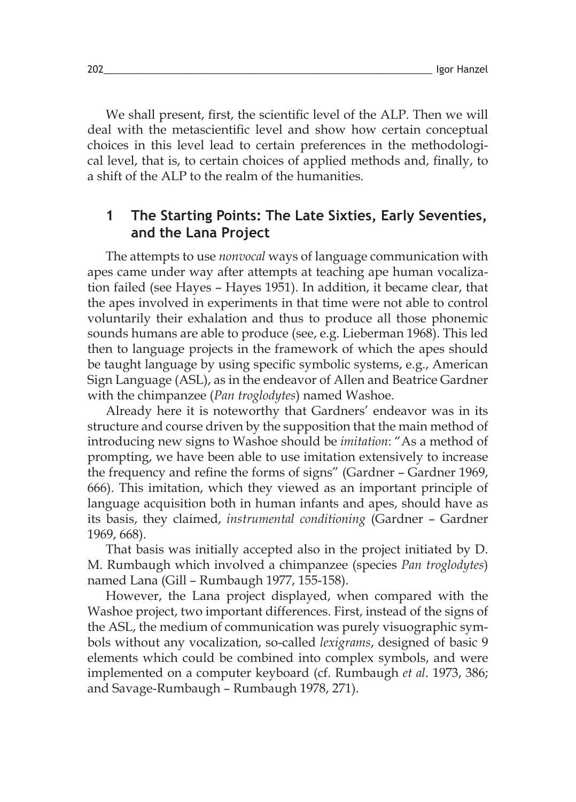We shall present, first, the scientific level of the ALP. Then we will deal with the metascientific level and show how certain conceptual choices in this level lead to certain preferences in the methodological level, that is, to certain choices of applied methods and, finally, to a shift of the ALP to the realm of the humanities.

## **1 The Starting Points: The Late Sixties, Early Seventies, and the Lana Project**

The attempts to use *nonvocal* ways of language communication with apes came under way after attempts at teaching ape human vocalization failed (see Hayes – Hayes 1951). In addition, it became clear, that the apes involved in experiments in that time were not able to control voluntarily their exhalation and thus to produce all those phonemic sounds humans are able to produce (see, e.g. Lieberman 1968). This led then to language projects in the framework of which the apes should be taught language by using specific symbolic systems, e.g., American Sign Language (ASL), as in the endeavor of Allen and Beatrice Gardner with the chimpanzee (*Pan troglodytes*) named Washoe.

Already here it is noteworthy that Gardners' endeavor was in its structure and course driven by the supposition that the main method of introducing new signs to Washoe should be *imitation*: "As a method of prompting, we have been able to use imitation extensively to increase the frequency and refine the forms of signs" (Gardner – Gardner 1969, 666). This imitation, which they viewed as an important principle of language acquisition both in human infants and apes, should have as its basis, they claimed, *instrumental conditioning* (Gardner – Gardner 1969, 668).

That basis was initially accepted also in the project initiated by D. M. Rumbaugh which involved a chimpanzee (species *Pan troglodytes*) named Lana (Gill – Rumbaugh 1977, 155-158).

However, the Lana project displayed, when compared with the Washoe project, two important differences. First, instead of the signs of the ASL, the medium of communication was purely visuographic symbols without any vocalization, so-called *lexigrams*, designed of basic 9 elements which could be combined into complex symbols, and were implemented on a computer keyboard (cf. Rumbaugh *et al*. 1973, 386; and Savage-Rumbaugh – Rumbaugh 1978, 271).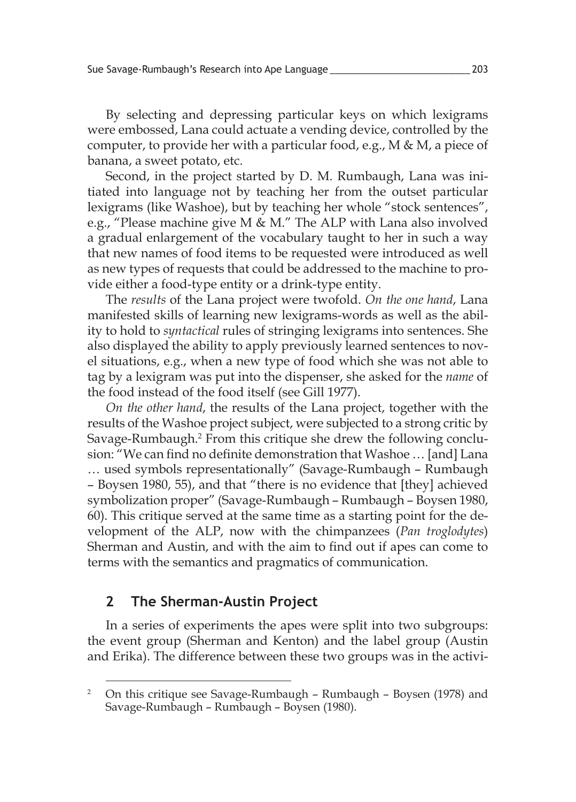By selecting and depressing particular keys on which lexigrams were embossed, Lana could actuate a vending device, controlled by the computer, to provide her with a particular food, e.g., M  $\&$  M, a piece of banana, a sweet potato, etc.

Second, in the project started by D. M. Rumbaugh, Lana was initiated into language not by teaching her from the outset particular lexigrams (like Washoe), but by teaching her whole "stock sentences", e.g., "Please machine give M & M." The ALP with Lana also involved a gradual enlargement of the vocabulary taught to her in such a way that new names of food items to be requested were introduced as well as new types of requests that could be addressed to the machine to provide either a food-type entity or a drink-type entity.

The *results* of the Lana project were twofold. *On the one hand*, Lana manifested skills of learning new lexigrams-words as well as the ability to hold to *syntactical* rules of stringing lexigrams into sentences. She also displayed the ability to apply previously learned sentences to novel situations, e.g., when a new type of food which she was not able to tag by a lexigram was put into the dispenser, she asked for the *name* of the food instead of the food itself (see Gill 1977).

*On the other hand*, the results of the Lana project, together with the results of the Washoe project subject, were subjected to a strong critic by Savage-Rumbaugh. 2 From this critique she drew the following conclusion: "We can find no definite demonstration that Washoe … [and] Lana … used symbols representationally" (Savage-Rumbaugh – Rumbaugh – Boysen 1980, 55), and that "there is no evidence that [they] achieved symbolization proper" (Savage-Rumbaugh – Rumbaugh – Boysen 1980, 60). This critique served at the same time as a starting point for the development of the ALP, now with the chimpanzees (*Pan troglodytes*) Sherman and Austin, and with the aim to find out if apes can come to terms with the semantics and pragmatics of communication.

### **2 The Sherman-Austin Project**

In a series of experiments the apes were split into two subgroups: the event group (Sherman and Kenton) and the label group (Austin and Erika). The difference between these two groups was in the activi-

<sup>&</sup>lt;sup>2</sup> On this critique see Savage-Rumbaugh – Rumbaugh – Boysen (1978) and Savage-Rumbaugh – Rumbaugh – Boysen (1980).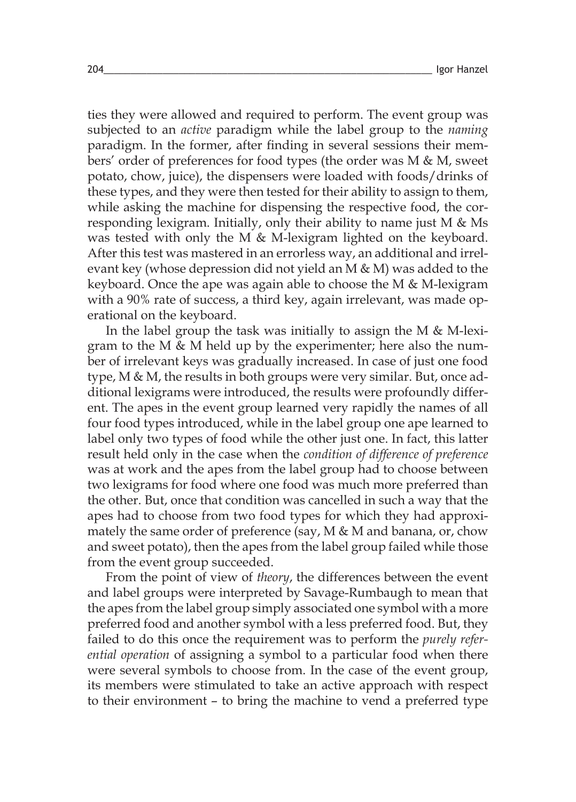ties they were allowed and required to perform. The event group was subjected to an *active* paradigm while the label group to the *naming* paradigm. In the former, after finding in several sessions their members' order of preferences for food types (the order was M & M, sweet potato, chow, juice), the dispensers were loaded with foods/drinks of these types, and they were then tested for their ability to assign to them, while asking the machine for dispensing the respective food, the corresponding lexigram. Initially, only their ability to name just  $M \& Ms$ was tested with only the M & M-lexigram lighted on the keyboard. After this test was mastered in an errorless way, an additional and irrelevant key (whose depression did not yield an M & M) was added to the keyboard. Once the ape was again able to choose the M & M-lexigram with a 90% rate of success, a third key, again irrelevant, was made operational on the keyboard.

In the label group the task was initially to assign the M  $\&$  M-lexigram to the M & M held up by the experimenter; here also the number of irrelevant keys was gradually increased. In case of just one food type, M & M, the results in both groups were very similar. But, once additional lexigrams were introduced, the results were profoundly different. The apes in the event group learned very rapidly the names of all four food types introduced, while in the label group one ape learned to label only two types of food while the other just one. In fact, this latter result held only in the case when the *condition of difference of preference* was at work and the apes from the label group had to choose between two lexigrams for food where one food was much more preferred than the other. But, once that condition was cancelled in such a way that the apes had to choose from two food types for which they had approximately the same order of preference (say, M & M and banana, or, chow and sweet potato), then the apes from the label group failed while those from the event group succeeded.

From the point of view of *theory*, the differences between the event and label groups were interpreted by Savage-Rumbaugh to mean that the apes from the label group simply associated one symbol with a more preferred food and another symbol with a less preferred food. But, they failed to do this once the requirement was to perform the *purely referential operation* of assigning a symbol to a particular food when there were several symbols to choose from. In the case of the event group, its members were stimulated to take an active approach with respect to their environment – to bring the machine to vend a preferred type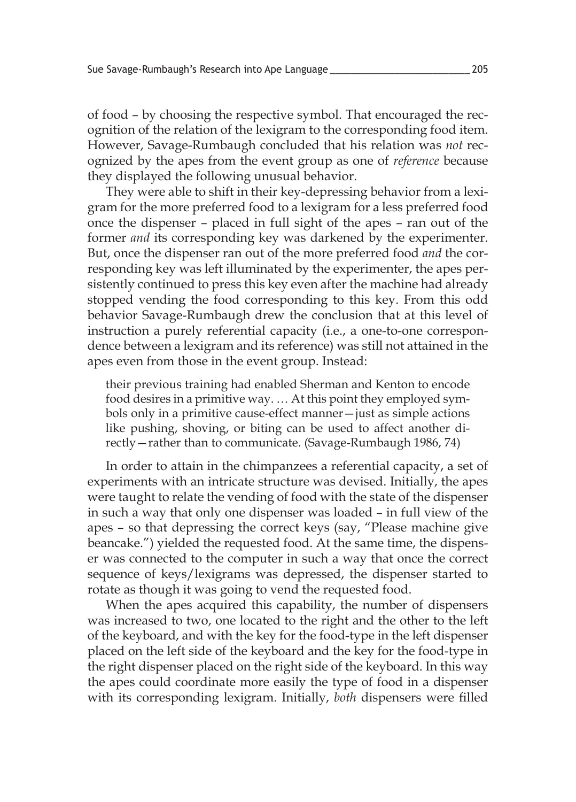of food – by choosing the respective symbol. That encouraged the recognition of the relation of the lexigram to the corresponding food item. However, Savage-Rumbaugh concluded that his relation was *not* recognized by the apes from the event group as one of *reference* because they displayed the following unusual behavior.

They were able to shift in their key-depressing behavior from a lexigram for the more preferred food to a lexigram for a less preferred food once the dispenser – placed in full sight of the apes – ran out of the former *and* its corresponding key was darkened by the experimenter. But, once the dispenser ran out of the more preferred food *and* the corresponding key was left illuminated by the experimenter, the apes persistently continued to press this key even after the machine had already stopped vending the food corresponding to this key. From this odd behavior Savage-Rumbaugh drew the conclusion that at this level of instruction a purely referential capacity (i.e., a one-to-one correspondence between a lexigram and its reference) was still not attained in the apes even from those in the event group. Instead:

their previous training had enabled Sherman and Kenton to encode food desires in a primitive way. … At this point they employed symbols only in a primitive cause-effect manner—just as simple actions like pushing, shoving, or biting can be used to affect another directly—rather than to communicate. (Savage-Rumbaugh 1986, 74)

In order to attain in the chimpanzees a referential capacity, a set of experiments with an intricate structure was devised. Initially, the apes were taught to relate the vending of food with the state of the dispenser in such a way that only one dispenser was loaded – in full view of the apes – so that depressing the correct keys (say, "Please machine give beancake.") yielded the requested food. At the same time, the dispenser was connected to the computer in such a way that once the correct sequence of keys/lexigrams was depressed, the dispenser started to rotate as though it was going to vend the requested food.

When the apes acquired this capability, the number of dispensers was increased to two, one located to the right and the other to the left of the keyboard, and with the key for the food-type in the left dispenser placed on the left side of the keyboard and the key for the food-type in the right dispenser placed on the right side of the keyboard. In this way the apes could coordinate more easily the type of food in a dispenser with its corresponding lexigram. Initially, *both* dispensers were filled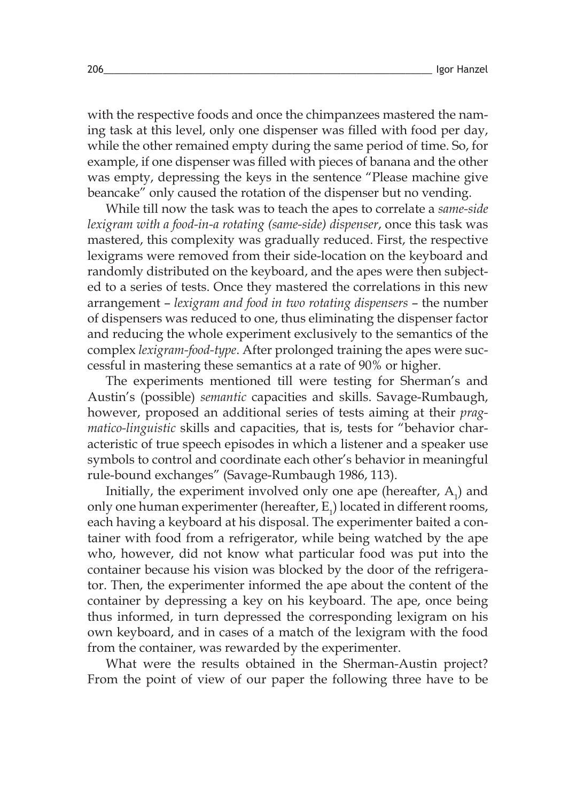with the respective foods and once the chimpanzees mastered the naming task at this level, only one dispenser was filled with food per day, while the other remained empty during the same period of time. So, for example, if one dispenser was filled with pieces of banana and the other was empty, depressing the keys in the sentence "Please machine give beancake" only caused the rotation of the dispenser but no vending.

While till now the task was to teach the apes to correlate a *same-side lexigram with a food-in-a rotating (same-side) dispenser*, once this task was mastered, this complexity was gradually reduced. First, the respective lexigrams were removed from their side-location on the keyboard and randomly distributed on the keyboard, and the apes were then subjected to a series of tests. Once they mastered the correlations in this new arrangement – *lexigram and food in two rotating dispensers* – the number of dispensers was reduced to one, thus eliminating the dispenser factor and reducing the whole experiment exclusively to the semantics of the complex *lexigram-food-type*. After prolonged training the apes were successful in mastering these semantics at a rate of 90% or higher.

The experiments mentioned till were testing for Sherman's and Austin's (possible) *semantic* capacities and skills. Savage-Rumbaugh, however, proposed an additional series of tests aiming at their *pragmatico-linguistic* skills and capacities, that is, tests for "behavior characteristic of true speech episodes in which a listener and a speaker use symbols to control and coordinate each other's behavior in meaningful rule-bound exchanges" (Savage-Rumbaugh 1986, 113).

Initially, the experiment involved only one ape (hereafter,  $A_1$ ) and only one human experimenter (hereafter,  $E_{1}$ ) located in different rooms, each having a keyboard at his disposal. The experimenter baited a container with food from a refrigerator, while being watched by the ape who, however, did not know what particular food was put into the container because his vision was blocked by the door of the refrigerator. Then, the experimenter informed the ape about the content of the container by depressing a key on his keyboard. The ape, once being thus informed, in turn depressed the corresponding lexigram on his own keyboard, and in cases of a match of the lexigram with the food from the container, was rewarded by the experimenter.

What were the results obtained in the Sherman-Austin project? From the point of view of our paper the following three have to be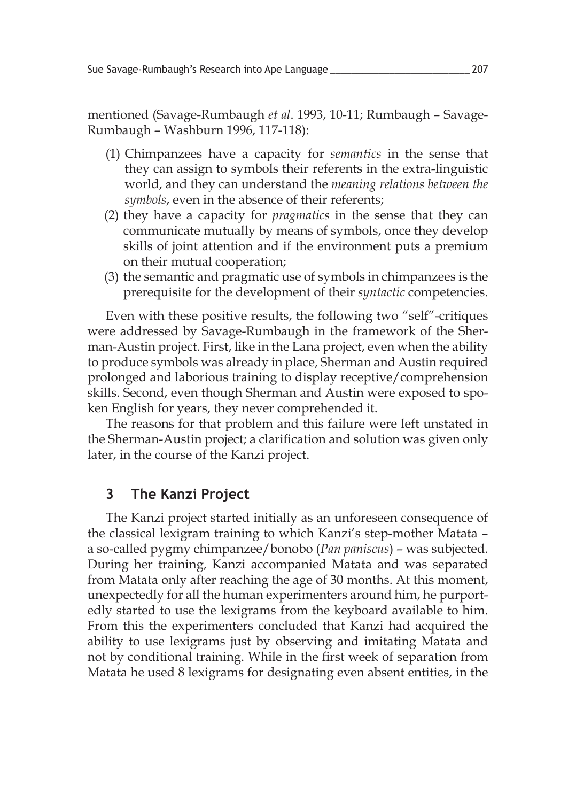mentioned (Savage-Rumbaugh *et al*. 1993, 10-11; Rumbaugh – Savage-Rumbaugh – Washburn 1996, 117-118):

- (1) Chimpanzees have a capacity for *semantics* in the sense that they can assign to symbols their referents in the extra-linguistic world, and they can understand the *meaning relations between the symbols*, even in the absence of their referents;
- (2) they have a capacity for *pragmatics* in the sense that they can communicate mutually by means of symbols, once they develop skills of joint attention and if the environment puts a premium on their mutual cooperation;
- (3) the semantic and pragmatic use of symbols in chimpanzees is the prerequisite for the development of their *syntactic* competencies.

Even with these positive results, the following two "self"-critiques were addressed by Savage-Rumbaugh in the framework of the Sherman-Austin project. First, like in the Lana project, even when the ability to produce symbols was already in place, Sherman and Austin required prolonged and laborious training to display receptive/comprehension skills. Second, even though Sherman and Austin were exposed to spoken English for years, they never comprehended it.

The reasons for that problem and this failure were left unstated in the Sherman-Austin project; a clarification and solution was given only later, in the course of the Kanzi project.

#### **3 The Kanzi Project**

The Kanzi project started initially as an unforeseen consequence of the classical lexigram training to which Kanzi's step-mother Matata – a so-called pygmy chimpanzee/bonobo (*Pan paniscus*) – was subjected. During her training, Kanzi accompanied Matata and was separated from Matata only after reaching the age of 30 months. At this moment, unexpectedly for all the human experimenters around him, he purportedly started to use the lexigrams from the keyboard available to him. From this the experimenters concluded that Kanzi had acquired the ability to use lexigrams just by observing and imitating Matata and not by conditional training. While in the first week of separation from Matata he used 8 lexigrams for designating even absent entities, in the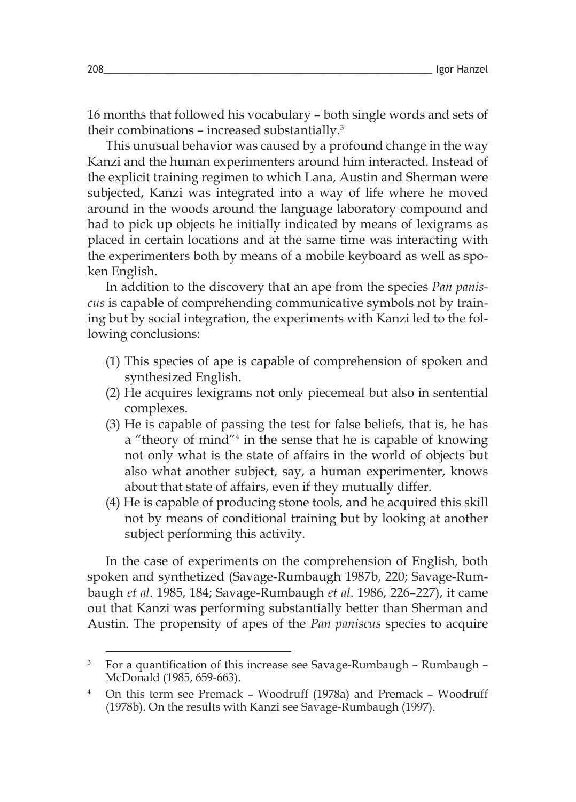16 months that followed his vocabulary – both single words and sets of their combinations – increased substantially. 3

This unusual behavior was caused by a profound change in the way Kanzi and the human experimenters around him interacted. Instead of the explicit training regimen to which Lana, Austin and Sherman were subjected, Kanzi was integrated into a way of life where he moved around in the woods around the language laboratory compound and had to pick up objects he initially indicated by means of lexigrams as placed in certain locations and at the same time was interacting with the experimenters both by means of a mobile keyboard as well as spoken English.

In addition to the discovery that an ape from the species *Pan paniscus* is capable of comprehending communicative symbols not by training but by social integration, the experiments with Kanzi led to the following conclusions:

- (1) This species of ape is capable of comprehension of spoken and synthesized English.
- (2) He acquires lexigrams not only piecemeal but also in sentential complexes.
- (3) He is capable of passing the test for false beliefs, that is, he has a "theory of mind"<sup>4</sup> in the sense that he is capable of knowing not only what is the state of affairs in the world of objects but also what another subject, say, a human experimenter, knows about that state of affairs, even if they mutually differ.
- (4) He is capable of producing stone tools, and he acquired this skill not by means of conditional training but by looking at another subject performing this activity.

In the case of experiments on the comprehension of English, both spoken and synthetized (Savage-Rumbaugh 1987b, 220; Savage-Rumbaugh *et al*. 1985, 184; Savage-Rumbaugh *et al*. 1986, 226–227), it came out that Kanzi was performing substantially better than Sherman and Austin. The propensity of apes of the *Pan paniscus* species to acquire

<sup>3</sup> For a quantification of this increase see Savage-Rumbaugh – Rumbaugh – McDonald (1985, 659-663).

<sup>4</sup> On this term see Premack – Woodruff (1978a) and Premack – Woodruff (1978b). On the results with Kanzi see Savage-Rumbaugh (1997).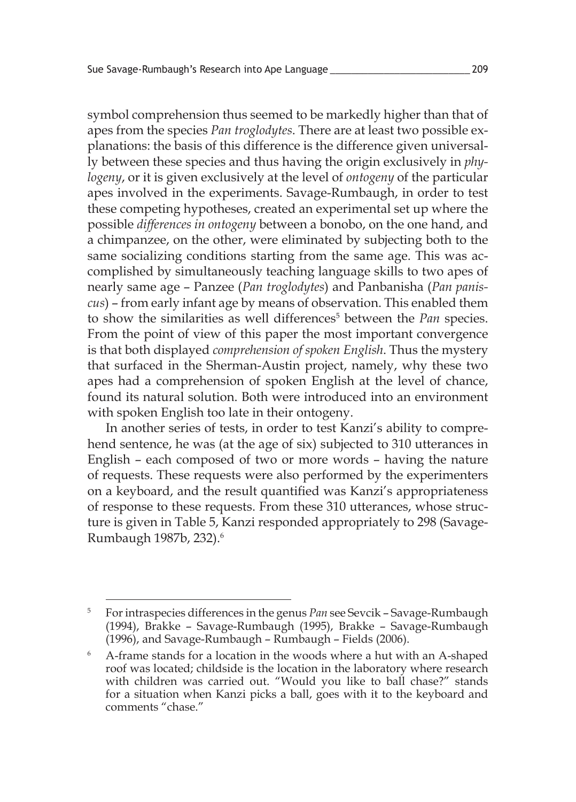symbol comprehension thus seemed to be markedly higher than that of apes from the species *Pan troglodytes*. There are at least two possible explanations: the basis of this difference is the difference given universally between these species and thus having the origin exclusively in *phylogeny*, or it is given exclusively at the level of *ontogeny* of the particular apes involved in the experiments. Savage-Rumbaugh, in order to test these competing hypotheses, created an experimental set up where the possible *differences in ontogeny* between a bonobo, on the one hand, and a chimpanzee, on the other, were eliminated by subjecting both to the same socializing conditions starting from the same age. This was accomplished by simultaneously teaching language skills to two apes of nearly same age – Panzee (*Pan troglodytes*) and Panbanisha (*Pan paniscus*) – from early infant age by means of observation. This enabled them to show the similarities as well differences<sup>5</sup> between the *Pan* species. From the point of view of this paper the most important convergence is that both displayed *comprehension of spoken English*. Thus the mystery that surfaced in the Sherman-Austin project, namely, why these two apes had a comprehension of spoken English at the level of chance, found its natural solution. Both were introduced into an environment with spoken English too late in their ontogeny.

In another series of tests, in order to test Kanzi's ability to comprehend sentence, he was (at the age of six) subjected to 310 utterances in English – each composed of two or more words – having the nature of requests. These requests were also performed by the experimenters on a keyboard, and the result quantified was Kanzi's appropriateness of response to these requests. From these 310 utterances, whose structure is given in Table 5, Kanzi responded appropriately to 298 (Savage-Rumbaugh 1987b, 232). 6

<sup>5</sup> For intraspecies differences in the genus *Pan* see Sevcik – Savage-Rumbaugh (1994), Brakke – Savage-Rumbaugh (1995), Brakke – Savage-Rumbaugh (1996), and Savage-Rumbaugh – Rumbaugh – Fields (2006).

<sup>6</sup> A-frame stands for a location in the woods where a hut with an A-shaped roof was located; childside is the location in the laboratory where research with children was carried out. "Would you like to ball chase?" stands for a situation when Kanzi picks a ball, goes with it to the keyboard and comments "chase."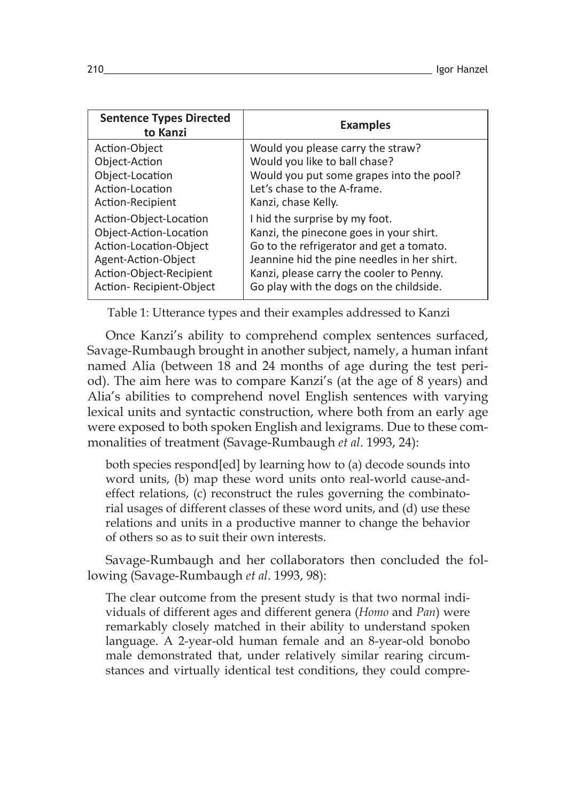| <b>Sentence Types Directed</b><br>to Kanzi | <b>Examples</b>                             |
|--------------------------------------------|---------------------------------------------|
| Action-Object                              | Would you please carry the straw?           |
| Object-Action                              | Would you like to ball chase?               |
| Object-Location                            | Would you put some grapes into the pool?    |
| Action-Location                            | Let's chase to the A-frame.                 |
| Action-Recipient                           | Kanzi, chase Kelly.                         |
| Action-Object-Location                     | I hid the surprise by my foot.              |
| Object-Action-Location                     | Kanzi, the pinecone goes in your shirt.     |
| Action-Location-Object                     | Go to the refrigerator and get a tomato.    |
| Agent-Action-Object                        | Jeannine hid the pine needles in her shirt. |
| Action-Object-Recipient                    | Kanzi, please carry the cooler to Penny.    |
| Action-Recipient-Object                    | Go play with the dogs on the childside.     |

Table 1: Utterance types and their examples addressed to Kanzi

Once Kanzi's ability to comprehend complex sentences surfaced, Savage-Rumbaugh brought in another subject, namely, a human infant named Alia (between 18 and 24 months of age during the test period). The aim here was to compare Kanzi's (at the age of 8 years) and Alia's abilities to comprehend novel English sentences with varying lexical units and syntactic construction, where both from an early age were exposed to both spoken English and lexigrams. Due to these commonalities of treatment (Savage-Rumbaugh *et al*. 1993, 24):

both species respond[ed] by learning how to (a) decode sounds into word units, (b) map these word units onto real-world cause-andeffect relations, (c) reconstruct the rules governing the combinatorial usages of different classes of these word units, and (d) use these relations and units in a productive manner to change the behavior of others so as to suit their own interests.

Savage-Rumbaugh and her collaborators then concluded the following (Savage-Rumbaugh *et al*. 1993, 98):

The clear outcome from the present study is that two normal individuals of different ages and different genera (*Homo* and *Pan*) were remarkably closely matched in their ability to understand spoken language. A 2-year-old human female and an 8-year-old bonobo male demonstrated that, under relatively similar rearing circumstances and virtually identical test conditions, they could compre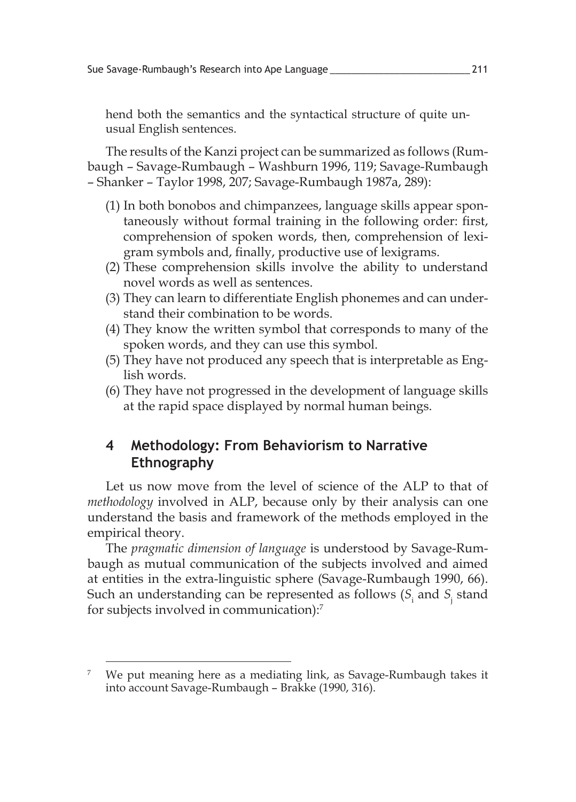hend both the semantics and the syntactical structure of quite unusual English sentences.

The results of the Kanzi project can be summarized as follows (Rumbaugh – Savage-Rumbaugh – Washburn 1996, 119; Savage-Rumbaugh – Shanker – Taylor 1998, 207; Savage-Rumbaugh 1987a, 289):

- (1) In both bonobos and chimpanzees, language skills appear spontaneously without formal training in the following order: first, comprehension of spoken words, then, comprehension of lexigram symbols and, finally, productive use of lexigrams.
- (2) These comprehension skills involve the ability to understand novel words as well as sentences.
- (3) They can learn to differentiate English phonemes and can understand their combination to be words.
- (4) They know the written symbol that corresponds to many of the spoken words, and they can use this symbol.
- (5) They have not produced any speech that is interpretable as English words.
- (6) They have not progressed in the development of language skills at the rapid space displayed by normal human beings.

# **4 Methodology: From Behaviorism to Narrative Ethnography**

Let us now move from the level of science of the ALP to that of *methodology* involved in ALP, because only by their analysis can one understand the basis and framework of the methods employed in the empirical theory.

The *pragmatic dimension of language* is understood by Savage-Rumbaugh as mutual communication of the subjects involved and aimed at entities in the extra-linguistic sphere (Savage-Rumbaugh 1990, 66). Such an understanding can be represented as follows (S<sub>i</sub> and S<sub>j</sub> stand for subjects involved in communication):<sup>7</sup>

<sup>&</sup>lt;sup>7</sup> We put meaning here as a mediating link, as Savage-Rumbaugh takes it into account Savage-Rumbaugh – Brakke (1990, 316).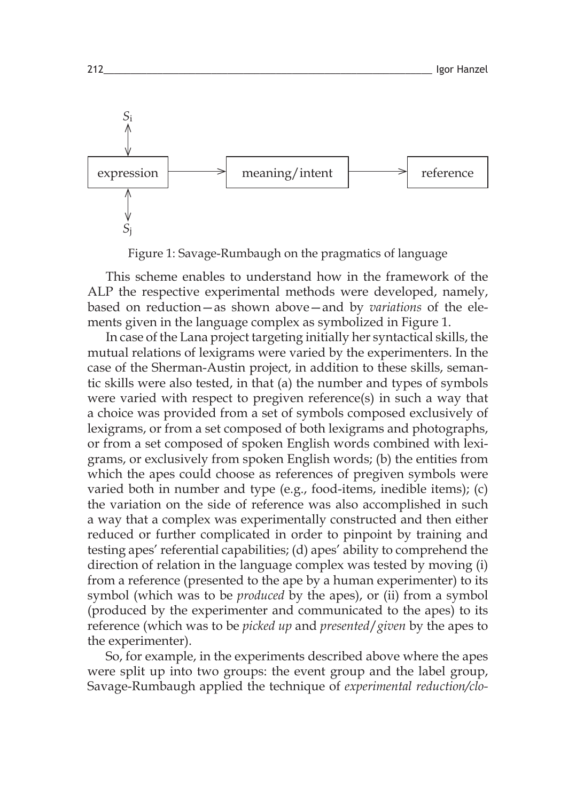

Figure 1: Savage-Rumbaugh on the pragmatics of language

This scheme enables to understand how in the framework of the ALP the respective experimental methods were developed, namely, based on reduction—as shown above—and by *variations* of the elements given in the language complex as symbolized in Figure 1.

In case of the Lana project targeting initially her syntactical skills, the mutual relations of lexigrams were varied by the experimenters. In the case of the Sherman-Austin project, in addition to these skills, semantic skills were also tested, in that (a) the number and types of symbols were varied with respect to pregiven reference(s) in such a way that a choice was provided from a set of symbols composed exclusively of lexigrams, or from a set composed of both lexigrams and photographs, or from a set composed of spoken English words combined with lexigrams, or exclusively from spoken English words; (b) the entities from which the apes could choose as references of pregiven symbols were varied both in number and type (e.g., food-items, inedible items); (c) the variation on the side of reference was also accomplished in such a way that a complex was experimentally constructed and then either reduced or further complicated in order to pinpoint by training and testing apes' referential capabilities; (d) apes' ability to comprehend the direction of relation in the language complex was tested by moving (i) from a reference (presented to the ape by a human experimenter) to its symbol (which was to be *produced* by the apes), or (ii) from a symbol (produced by the experimenter and communicated to the apes) to its reference (which was to be *picked up* and *presented*/*given* by the apes to the experimenter).

So, for example, in the experiments described above where the apes were split up into two groups: the event group and the label group, Savage-Rumbaugh applied the technique of *experimental reduction/clo-*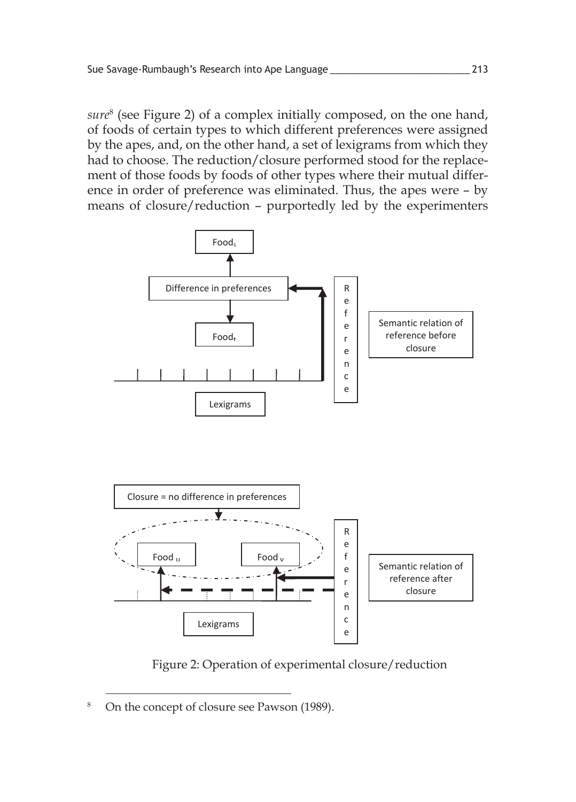*sure*<sup>8</sup> (see Figure 2) of a complex initially composed, on the one hand, of foods of certain types to which different preferences were assigned by the apes, and, on the other hand, a set of lexigrams from which they had to choose. The reduction/closure performed stood for the replacement of those foods by foods of other types where their mutual difference in order of preference was eliminated. Thus, the apes were – by means of closure/reduction – purportedly led by the experimenters



Figure 2: Operation of experimental closure/reduction

<sup>&</sup>lt;sup>8</sup> On the concept of closure see Pawson (1989).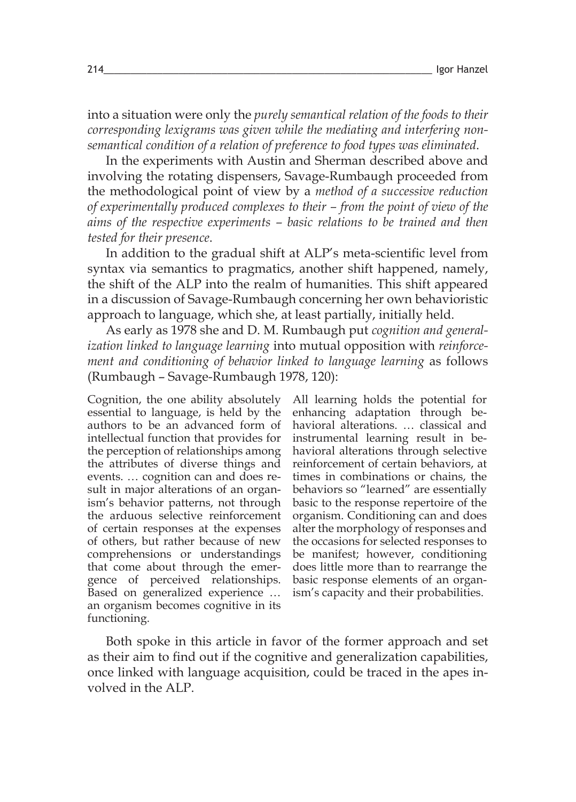into a situation were only the *purely semantical relation of the foods to their corresponding lexigrams was given while the mediating and interfering nonsemantical condition of a relation of preference to food types was eliminated*.

In the experiments with Austin and Sherman described above and involving the rotating dispensers, Savage-Rumbaugh proceeded from the methodological point of view by a *method of a successive reduction of experimentally produced complexes to their – from the point of view of the aims of the respective experiments – basic relations to be trained and then tested for their presence*.

In addition to the gradual shift at ALP's meta-scientific level from syntax via semantics to pragmatics, another shift happened, namely, the shift of the ALP into the realm of humanities. This shift appeared in a discussion of Savage-Rumbaugh concerning her own behavioristic approach to language, which she, at least partially, initially held.

As early as 1978 she and D. M. Rumbaugh put *cognition and generalization linked to language learning* into mutual opposition with *reinforcement and conditioning of behavior linked to language learning* as follows (Rumbaugh – Savage-Rumbaugh 1978, 120):

Cognition, the one ability absolutely essential to language, is held by the authors to be an advanced form of intellectual function that provides for the perception of relationships among the attributes of diverse things and events. … cognition can and does result in major alterations of an organism's behavior patterns, not through the arduous selective reinforcement of certain responses at the expenses of others, but rather because of new comprehensions or understandings that come about through the emergence of perceived relationships. Based on generalized experience … an organism becomes cognitive in its functioning.

All learning holds the potential for enhancing adaptation through behavioral alterations. … classical and instrumental learning result in behavioral alterations through selective reinforcement of certain behaviors, at times in combinations or chains, the behaviors so "learned" are essentially basic to the response repertoire of the organism. Conditioning can and does alter the morphology of responses and the occasions for selected responses to be manifest; however, conditioning does little more than to rearrange the basic response elements of an organism's capacity and their probabilities.

Both spoke in this article in favor of the former approach and set as their aim to find out if the cognitive and generalization capabilities, once linked with language acquisition, could be traced in the apes involved in the ALP.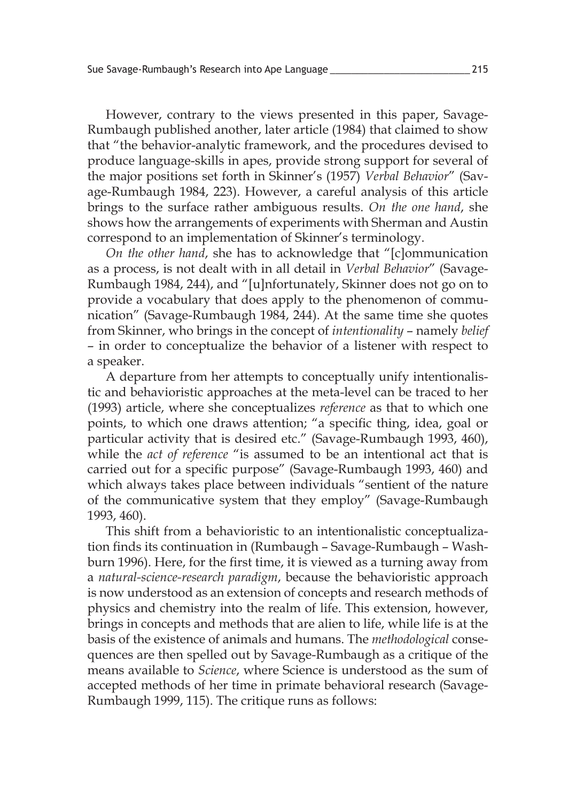However, contrary to the views presented in this paper, Savage-Rumbaugh published another, later article (1984) that claimed to show that "the behavior-analytic framework, and the procedures devised to produce language-skills in apes, provide strong support for several of the major positions set forth in Skinner's (1957) *Verbal Behavior*" (Savage-Rumbaugh 1984, 223). However, a careful analysis of this article brings to the surface rather ambiguous results. *On the one hand*, she shows how the arrangements of experiments with Sherman and Austin correspond to an implementation of Skinner's terminology.

*On the other hand*, she has to acknowledge that "[c]ommunication as a process, is not dealt with in all detail in *Verbal Behavior*" (Savage-Rumbaugh 1984, 244), and "[u]nfortunately, Skinner does not go on to provide a vocabulary that does apply to the phenomenon of communication" (Savage-Rumbaugh 1984, 244). At the same time she quotes from Skinner, who brings in the concept of *intentionality* – namely *belief* – in order to conceptualize the behavior of a listener with respect to a speaker.

A departure from her attempts to conceptually unify intentionalistic and behavioristic approaches at the meta-level can be traced to her (1993) article, where she conceptualizes *reference* as that to which one points, to which one draws attention; "a specific thing, idea, goal or particular activity that is desired etc." (Savage-Rumbaugh 1993, 460), while the *act of reference* "is assumed to be an intentional act that is carried out for a specific purpose" (Savage-Rumbaugh 1993, 460) and which always takes place between individuals "sentient of the nature of the communicative system that they employ" (Savage-Rumbaugh 1993, 460).

This shift from a behavioristic to an intentionalistic conceptualization finds its continuation in (Rumbaugh – Savage-Rumbaugh – Washburn 1996). Here, for the first time, it is viewed as a turning away from a *natural-science-research paradigm*, because the behavioristic approach is now understood as an extension of concepts and research methods of physics and chemistry into the realm of life. This extension, however, brings in concepts and methods that are alien to life, while life is at the basis of the existence of animals and humans. The *methodological* consequences are then spelled out by Savage-Rumbaugh as a critique of the means available to *Science*, where Science is understood as the sum of accepted methods of her time in primate behavioral research (Savage-Rumbaugh 1999, 115). The critique runs as follows: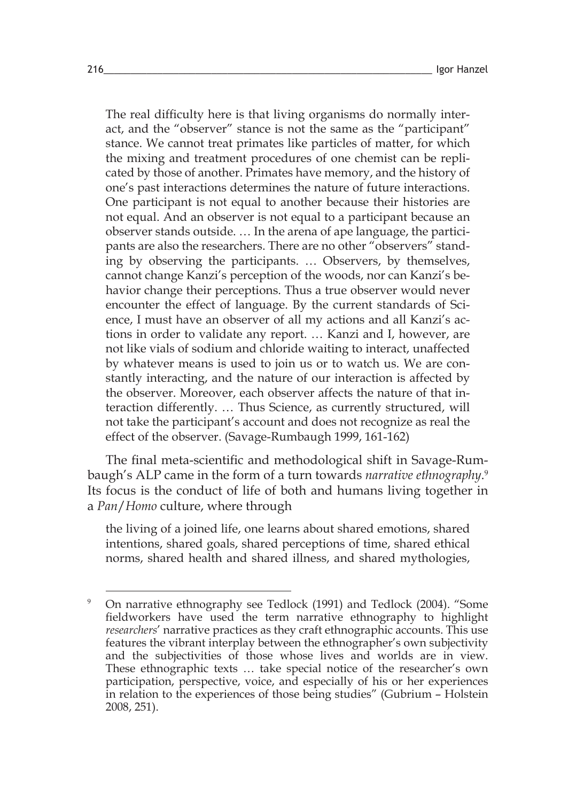The real difficulty here is that living organisms do normally interact, and the "observer" stance is not the same as the "participant" stance. We cannot treat primates like particles of matter, for which the mixing and treatment procedures of one chemist can be replicated by those of another. Primates have memory, and the history of one's past interactions determines the nature of future interactions. One participant is not equal to another because their histories are not equal. And an observer is not equal to a participant because an observer stands outside. … In the arena of ape language, the participants are also the researchers. There are no other "observers" standing by observing the participants. … Observers, by themselves, cannot change Kanzi's perception of the woods, nor can Kanzi's behavior change their perceptions. Thus a true observer would never encounter the effect of language. By the current standards of Science, I must have an observer of all my actions and all Kanzi's actions in order to validate any report. … Kanzi and I, however, are not like vials of sodium and chloride waiting to interact, unaffected by whatever means is used to join us or to watch us. We are constantly interacting, and the nature of our interaction is affected by the observer. Moreover, each observer affects the nature of that interaction differently. … Thus Science, as currently structured, will not take the participant's account and does not recognize as real the effect of the observer. (Savage-Rumbaugh 1999, 161-162)

The final meta-scientific and methodological shift in Savage-Rumbaugh's ALP came in the form of a turn towards *narrative ethnography*. 9 Its focus is the conduct of life of both and humans living together in a *Pan*/*Homo* culture, where through

the living of a joined life, one learns about shared emotions, shared intentions, shared goals, shared perceptions of time, shared ethical norms, shared health and shared illness, and shared mythologies,

<sup>&</sup>lt;sup>9</sup> On narrative ethnography see Tedlock (1991) and Tedlock (2004). "Some fieldworkers have used the term narrative ethnography to highlight *researchers*' narrative practices as they craft ethnographic accounts. This use features the vibrant interplay between the ethnographer's own subjectivity and the subjectivities of those whose lives and worlds are in view. These ethnographic texts … take special notice of the researcher's own participation, perspective, voice, and especially of his or her experiences in relation to the experiences of those being studies" (Gubrium – Holstein 2008, 251).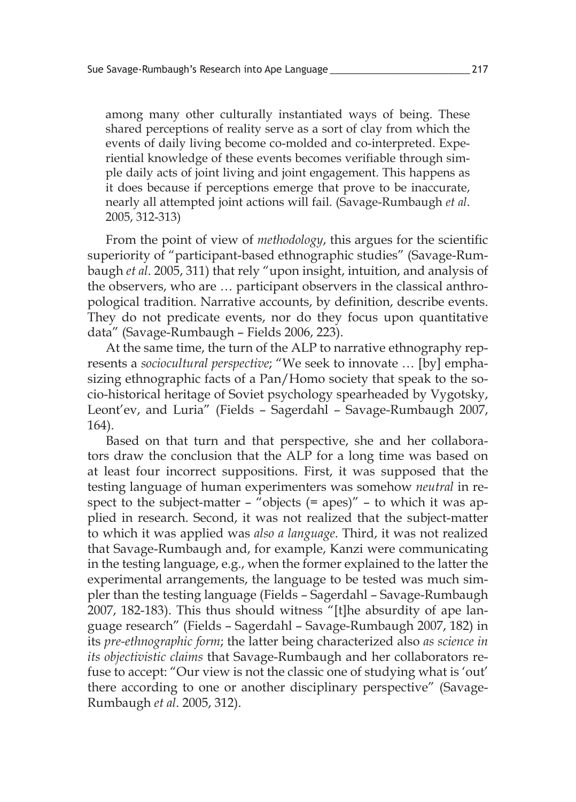among many other culturally instantiated ways of being. These shared perceptions of reality serve as a sort of clay from which the events of daily living become co-molded and co-interpreted. Experiential knowledge of these events becomes verifiable through simple daily acts of joint living and joint engagement. This happens as it does because if perceptions emerge that prove to be inaccurate, nearly all attempted joint actions will fail. (Savage-Rumbaugh *et al*. 2005, 312-313)

From the point of view of *methodology*, this argues for the scientific superiority of "participant-based ethnographic studies" (Savage-Rumbaugh *et al*. 2005, 311) that rely "upon insight, intuition, and analysis of the observers, who are … participant observers in the classical anthropological tradition. Narrative accounts, by definition, describe events. They do not predicate events, nor do they focus upon quantitative data" (Savage-Rumbaugh – Fields 2006, 223).

At the same time, the turn of the ALP to narrative ethnography represents a *sociocultural perspective*; "We seek to innovate … [by] emphasizing ethnographic facts of a Pan/Homo society that speak to the socio-historical heritage of Soviet psychology spearheaded by Vygotsky, Leont'ev, and Luria" (Fields – Sagerdahl – Savage-Rumbaugh 2007, 164).

Based on that turn and that perspective, she and her collaborators draw the conclusion that the ALP for a long time was based on at least four incorrect suppositions. First, it was supposed that the testing language of human experimenters was somehow *neutral* in respect to the subject-matter – "objects  $(=$  apes)" – to which it was applied in research. Second, it was not realized that the subject-matter to which it was applied was *also a language*. Third, it was not realized that Savage-Rumbaugh and, for example, Kanzi were communicating in the testing language, e.g., when the former explained to the latter the experimental arrangements, the language to be tested was much simpler than the testing language (Fields – Sagerdahl – Savage-Rumbaugh 2007, 182-183). This thus should witness "[t]he absurdity of ape language research" (Fields – Sagerdahl – Savage-Rumbaugh 2007, 182) in its *pre-ethnographic form*; the latter being characterized also *as science in its objectivistic claims* that Savage-Rumbaugh and her collaborators refuse to accept: "Our view is not the classic one of studying what is 'out' there according to one or another disciplinary perspective" (Savage-Rumbaugh *et al*. 2005, 312).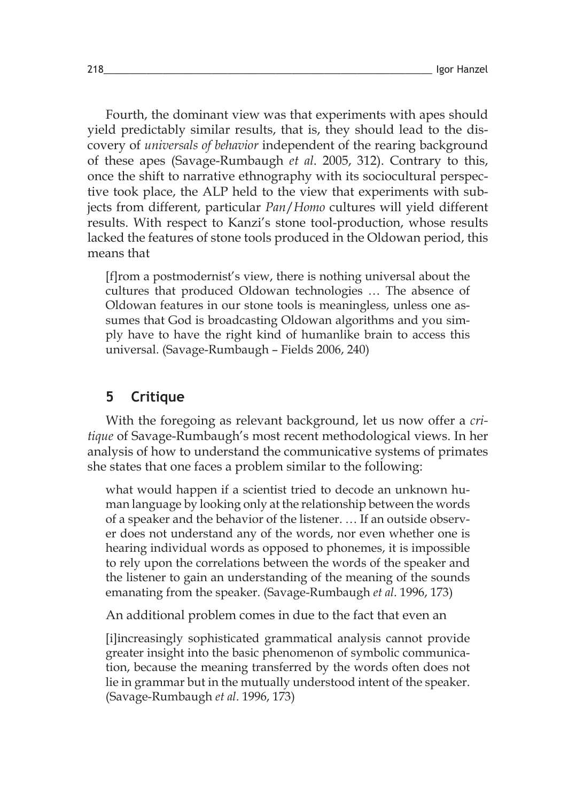Fourth, the dominant view was that experiments with apes should yield predictably similar results, that is, they should lead to the discovery of *universals of behavior* independent of the rearing background of these apes (Savage-Rumbaugh *et al*. 2005, 312). Contrary to this, once the shift to narrative ethnography with its sociocultural perspective took place, the ALP held to the view that experiments with subjects from different, particular *Pan*/*Homo* cultures will yield different results. With respect to Kanzi's stone tool-production, whose results lacked the features of stone tools produced in the Oldowan period, this means that

[f]rom a postmodernist's view, there is nothing universal about the cultures that produced Oldowan technologies … The absence of Oldowan features in our stone tools is meaningless, unless one assumes that God is broadcasting Oldowan algorithms and you simply have to have the right kind of humanlike brain to access this universal. (Savage-Rumbaugh – Fields 2006, 240)

## **5 Critique**

With the foregoing as relevant background, let us now offer a *critique* of Savage-Rumbaugh's most recent methodological views. In her analysis of how to understand the communicative systems of primates she states that one faces a problem similar to the following:

what would happen if a scientist tried to decode an unknown human language by looking only at the relationship between the words of a speaker and the behavior of the listener. … If an outside observer does not understand any of the words, nor even whether one is hearing individual words as opposed to phonemes, it is impossible to rely upon the correlations between the words of the speaker and the listener to gain an understanding of the meaning of the sounds emanating from the speaker. (Savage-Rumbaugh *et al*. 1996, 173)

An additional problem comes in due to the fact that even an

[i]increasingly sophisticated grammatical analysis cannot provide greater insight into the basic phenomenon of symbolic communication, because the meaning transferred by the words often does not lie in grammar but in the mutually understood intent of the speaker. (Savage-Rumbaugh *et al*. 1996, 173)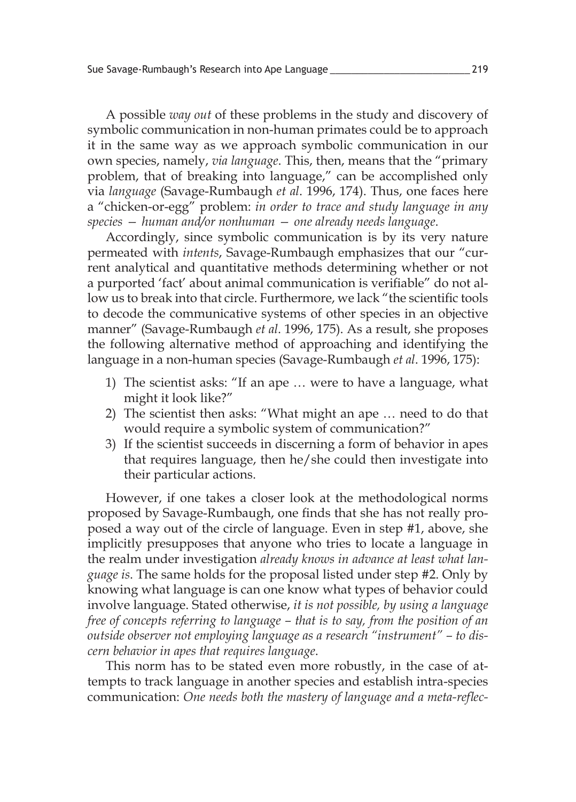A possible *way out* of these problems in the study and discovery of symbolic communication in non-human primates could be to approach it in the same way as we approach symbolic communication in our own species, namely, *via language*. This, then, means that the "primary problem, that of breaking into language," can be accomplished only via *language* (Savage-Rumbaugh *et al*. 1996, 174). Thus, one faces here a "chicken-or-egg" problem: *in order to trace and study language in any species — human and/or nonhuman — one already needs language*.

Accordingly, since symbolic communication is by its very nature permeated with *intents*, Savage-Rumbaugh emphasizes that our "current analytical and quantitative methods determining whether or not a purported 'fact' about animal communication is verifiable" do not allow us to break into that circle. Furthermore, we lack "the scientific tools to decode the communicative systems of other species in an objective manner" (Savage-Rumbaugh *et al*. 1996, 175). As a result, she proposes the following alternative method of approaching and identifying the language in a non-human species (Savage-Rumbaugh *et al*. 1996, 175):

- 1) The scientist asks: "If an ape … were to have a language, what might it look like?"
- 2) The scientist then asks: "What might an ape … need to do that would require a symbolic system of communication?"
- 3) If the scientist succeeds in discerning a form of behavior in apes that requires language, then he/she could then investigate into their particular actions.

However, if one takes a closer look at the methodological norms proposed by Savage-Rumbaugh, one finds that she has not really proposed a way out of the circle of language. Even in step #1, above, she implicitly presupposes that anyone who tries to locate a language in the realm under investigation *already knows in advance at least what language is*. The same holds for the proposal listed under step #2. Only by knowing what language is can one know what types of behavior could involve language. Stated otherwise, *it is not possible, by using a language free of concepts referring to language – that is to say, from the position of an outside observer not employing language as a research "instrument" – to discern behavior in apes that requires language*.

This norm has to be stated even more robustly, in the case of attempts to track language in another species and establish intra-species communication: *One needs both the mastery of language and a meta-reflec-*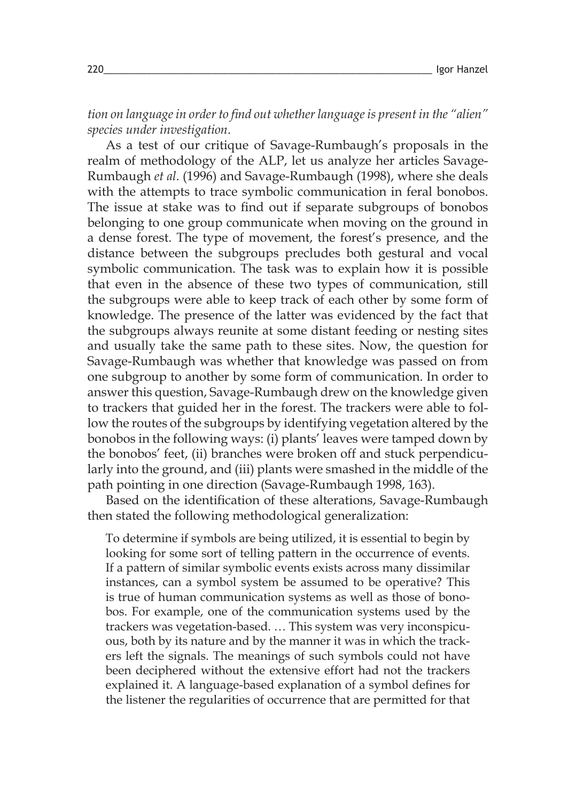*tion on language in order to find out whether language is present in the "alien" species under investigation*.

As a test of our critique of Savage-Rumbaugh's proposals in the realm of methodology of the ALP, let us analyze her articles Savage-Rumbaugh *et al*. (1996) and Savage-Rumbaugh (1998), where she deals with the attempts to trace symbolic communication in feral bonobos. The issue at stake was to find out if separate subgroups of bonobos belonging to one group communicate when moving on the ground in a dense forest. The type of movement, the forest's presence, and the distance between the subgroups precludes both gestural and vocal symbolic communication. The task was to explain how it is possible that even in the absence of these two types of communication, still the subgroups were able to keep track of each other by some form of knowledge. The presence of the latter was evidenced by the fact that the subgroups always reunite at some distant feeding or nesting sites and usually take the same path to these sites. Now, the question for Savage-Rumbaugh was whether that knowledge was passed on from one subgroup to another by some form of communication. In order to answer this question, Savage-Rumbaugh drew on the knowledge given to trackers that guided her in the forest. The trackers were able to follow the routes of the subgroups by identifying vegetation altered by the bonobos in the following ways: (i) plants' leaves were tamped down by the bonobos' feet, (ii) branches were broken off and stuck perpendicularly into the ground, and (iii) plants were smashed in the middle of the path pointing in one direction (Savage-Rumbaugh 1998, 163).

Based on the identification of these alterations, Savage-Rumbaugh then stated the following methodological generalization:

To determine if symbols are being utilized, it is essential to begin by looking for some sort of telling pattern in the occurrence of events. If a pattern of similar symbolic events exists across many dissimilar instances, can a symbol system be assumed to be operative? This is true of human communication systems as well as those of bonobos. For example, one of the communication systems used by the trackers was vegetation-based. … This system was very inconspicuous, both by its nature and by the manner it was in which the trackers left the signals. The meanings of such symbols could not have been deciphered without the extensive effort had not the trackers explained it. A language-based explanation of a symbol defines for the listener the regularities of occurrence that are permitted for that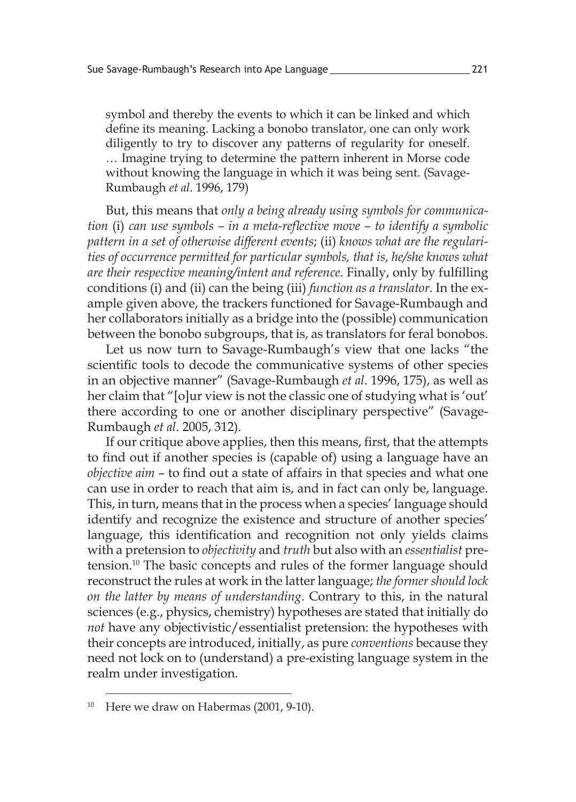symbol and thereby the events to which it can be linked and which define its meaning. Lacking a bonobo translator, one can only work diligently to try to discover any patterns of regularity for oneself. … Imagine trying to determine the pattern inherent in Morse code without knowing the language in which it was being sent. (Savage-Rumbaugh *et al*. 1996, 179)

But, this means that *only a being already using symbols for communication* (i) *can use symbols – in a meta-reflective move – to identify a symbolic pattern in a set of otherwise different events*; (ii) *knows what are the regularities of occurrence permitted for particular symbols, that is, he/she knows what are their respective meaning/intent and reference*. Finally, only by fulfilling conditions (i) and (ii) can the being (iii) *function as a translator*. In the example given above, the trackers functioned for Savage-Rumbaugh and her collaborators initially as a bridge into the (possible) communication between the bonobo subgroups, that is, as translators for feral bonobos.

Let us now turn to Savage-Rumbaugh's view that one lacks "the scientific tools to decode the communicative systems of other species in an objective manner" (Savage-Rumbaugh *et al*. 1996, 175), as well as her claim that "[o]ur view is not the classic one of studying what is 'out' there according to one or another disciplinary perspective" (Savage-Rumbaugh *et al*. 2005, 312).

If our critique above applies, then this means, first, that the attempts to find out if another species is (capable of) using a language have an *objective aim* – to find out a state of affairs in that species and what one can use in order to reach that aim is, and in fact can only be, language. This, in turn, means that in the process when a species' language should identify and recognize the existence and structure of another species' language, this identification and recognition not only yields claims with a pretension to *objectivity* and *truth* but also with an *essentialist* pretension. 10 The basic concepts and rules of the former language should reconstruct the rules at work in the latter language; *the former should lock on the latter by means of understanding*. Contrary to this, in the natural sciences (e.g., physics, chemistry) hypotheses are stated that initially do *not* have any objectivistic/essentialist pretension: the hypotheses with their concepts are introduced, initially, as pure *conventions* because they need not lock on to (understand) a pre-existing language system in the realm under investigation.

Here we draw on Habermas (2001, 9-10).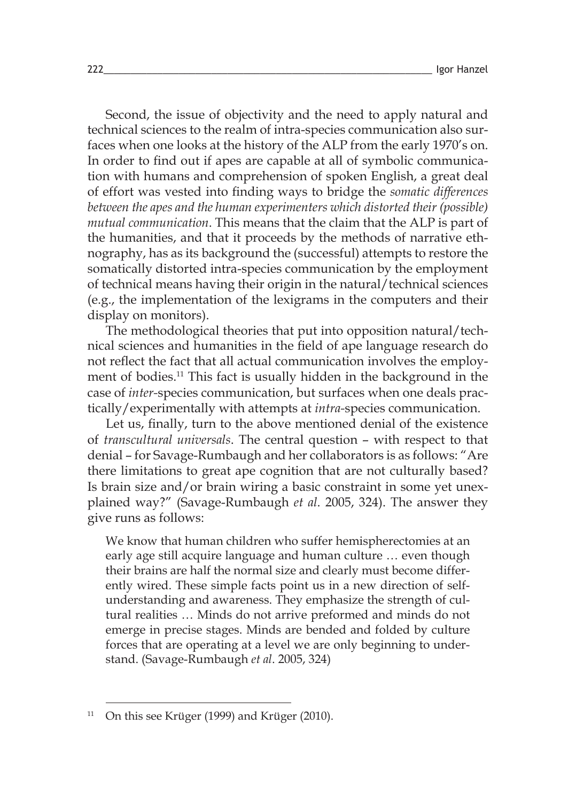Second, the issue of objectivity and the need to apply natural and technical sciences to the realm of intra-species communication also surfaces when one looks at the history of the ALP from the early 1970's on. In order to find out if apes are capable at all of symbolic communication with humans and comprehension of spoken English, a great deal of effort was vested into finding ways to bridge the *somatic differences between the apes and the human experimenters which distorted their (possible) mutual communication*. This means that the claim that the ALP is part of the humanities, and that it proceeds by the methods of narrative ethnography, has as its background the (successful) attempts to restore the somatically distorted intra-species communication by the employment of technical means having their origin in the natural/technical sciences (e.g., the implementation of the lexigrams in the computers and their display on monitors).

The methodological theories that put into opposition natural/technical sciences and humanities in the field of ape language research do not reflect the fact that all actual communication involves the employment of bodies. 11 This fact is usually hidden in the background in the case of *inter-*species communication, but surfaces when one deals practically/experimentally with attempts at *intra-*species communication.

Let us, finally, turn to the above mentioned denial of the existence of *transcultural universals*. The central question – with respect to that denial – for Savage-Rumbaugh and her collaborators is as follows: "Are there limitations to great ape cognition that are not culturally based? Is brain size and/or brain wiring a basic constraint in some yet unexplained way?" (Savage-Rumbaugh *et al*. 2005, 324). The answer they give runs as follows:

We know that human children who suffer hemispherectomies at an early age still acquire language and human culture … even though their brains are half the normal size and clearly must become differently wired. These simple facts point us in a new direction of selfunderstanding and awareness. They emphasize the strength of cultural realities … Minds do not arrive preformed and minds do not emerge in precise stages. Minds are bended and folded by culture forces that are operating at a level we are only beginning to understand. (Savage-Rumbaugh *et al*. 2005, 324)

 $11$  On this see Krüger (1999) and Krüger (2010).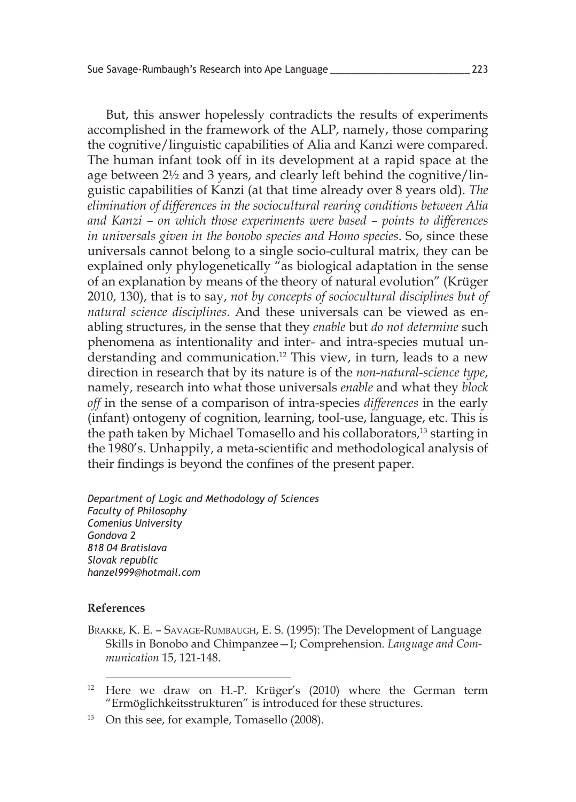But, this answer hopelessly contradicts the results of experiments accomplished in the framework of the ALP, namely, those comparing the cognitive/linguistic capabilities of Alia and Kanzi were compared. The human infant took off in its development at a rapid space at the age between 2½ and 3 years, and clearly left behind the cognitive/linguistic capabilities of Kanzi (at that time already over 8 years old). *The elimination of differences in the sociocultural rearing conditions between Alia and Kanzi – on which those experiments were based – points to differences in universals given in the bonobo species and Homo species*. So, since these universals cannot belong to a single socio-cultural matrix, they can be explained only phylogenetically "as biological adaptation in the sense of an explanation by means of the theory of natural evolution" (Krüger 2010, 130), that is to say, *not by concepts of sociocultural disciplines but of natural science disciplines*. And these universals can be viewed as enabling structures, in the sense that they *enable* but *do not determine* such phenomena as intentionality and inter- and intra-species mutual understanding and communication. 12 This view, in turn, leads to a new direction in research that by its nature is of the *non-natural-science type*, namely, research into what those universals *enable* and what they *block off* in the sense of a comparison of intra-species *differences* in the early (infant) ontogeny of cognition, learning, tool-use, language, etc. This is the path taken by Michael Tomasello and his collaborators,<sup>13</sup> starting in the 1980's. Unhappily, a meta-scientific and methodological analysis of their findings is beyond the confines of the present paper.

*Department of Logic and Methodology of Sciences Faculty of Philosophy Comenius University Gondova 2 818 04 Bratislava Slovak republic hanzel999@hotmail.com* 

#### **References**

Brakke, K. E. – Savage-Rumbaugh, E. S. (1995): The Development of Language Skills in Bonobo and Chimpanzee—I; Comprehension. *Language and Communication* 15, 121-148.

<sup>&</sup>lt;sup>12</sup> Here we draw on H.-P. Krüger's (2010) where the German term "Ermöglichkeitsstrukturen" is introduced for these structures.

<sup>13</sup> On this see, for example, Tomasello (2008).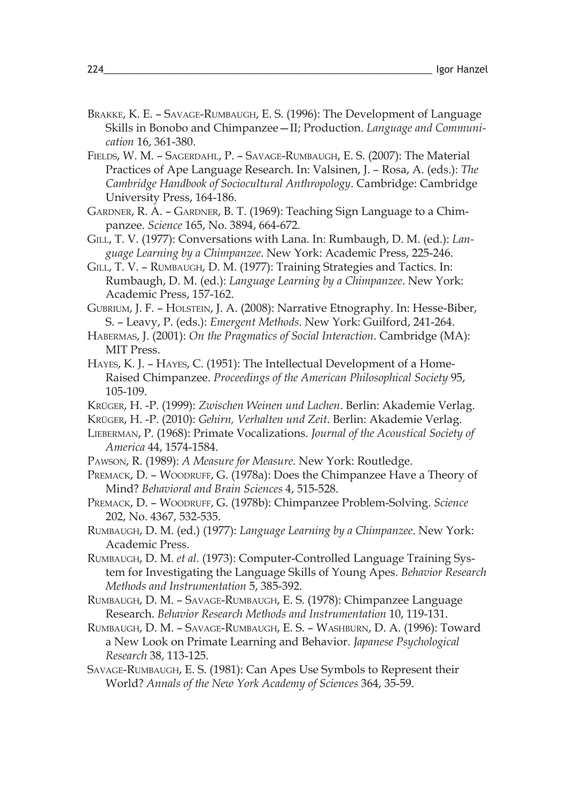- Brakke, K. E. Savage-Rumbaugh, E. S. (1996): The Development of Language Skills in Bonobo and Chimpanzee—II; Production. *Language and Communication* 16, 361-380.
- Fields, W. M. Sagerdahl, P. Savage-Rumbaugh, E. S. (2007): The Material Practices of Ape Language Research. In: Valsinen, J. – Rosa, A. (eds.): *The Cambridge Handbook of Sociocultural Anthropology*. Cambridge: Cambridge University Press, 164-186.
- GARDNER, R. A. GARDNER, B. T. (1969): Teaching Sign Language to a Chimpanzee. *Science* 165, No. 3894, 664-672.
- Gill, T. V. (1977): Conversations with Lana. In: Rumbaugh, D. M. (ed.): *Language Learning by a Chimpanzee*. New York: Academic Press, 225-246.
- Gill, T. V. Rumbaugh, D. M. (1977): Training Strategies and Tactics. In: Rumbaugh, D. M. (ed.): *Language Learning by a Chimpanzee*. New York: Academic Press, 157-162.
- Gubrium, J. F. Holstein, J. A. (2008): Narrative Etnography. In: Hesse-Biber, S. – Leavy, P. (eds.): *Emergent Methods*. New York: Guilford, 241-264.
- Habermas, J. (2001): *On the Pragmatics of Social Interaction*. Cambridge (MA): MIT Press.
- Hayes, K. J. Hayes, C. (1951): The Intellectual Development of a Home-Raised Chimpanzee. *Proceedings of the American Philosophical Society* 95, 105-109.
- Krüger, H. -P. (1999): *Zwischen Weinen und Lachen*. Berlin: Akademie Verlag.
- Krüger, H. -P. (2010): *Gehirn, Verhalten und Zeit*. Berlin: Akademie Verlag.
- Lieberman, P. (1968): Primate Vocalizations. *Journal of the Acoustical Society of America* 44, 1574-1584.
- Pawson, R. (1989): *A Measure for Measure*. New York: Routledge.
- Premack, D. Woodruff, G. (1978a): Does the Chimpanzee Have a Theory of Mind? *Behavioral and Brain Sciences* 4, 515-528.
- Premack, D. Woodruff, G. (1978b): Chimpanzee Problem-Solving. *Science* 202, No. 4367, 532-535.
- Rumbaugh, D. M. (ed.) (1977): *Language Learning by a Chimpanzee*. New York: Academic Press.
- Rumbaugh, D. M. *et al*. (1973): Computer-Controlled Language Training System for Investigating the Language Skills of Young Apes. *Behavior Research Methods and Instrumentation* 5, 385-392.
- Rumbaugh, D. M. Savage-Rumbaugh, E. S. (1978): Chimpanzee Language Research. *Behavior Research Methods and Instrumentation* 10, 119-131.
- Rumbaugh, D. M. Savage-Rumbaugh, E. S. Washburn, D. A. (1996): Toward a New Look on Primate Learning and Behavior. *Japanese Psychological Research* 38, 113-125.
- Savage-Rumbaugh, E. S. (1981): Can Apes Use Symbols to Represent their World? *Annals of the New York Academy of Sciences* 364, 35-59.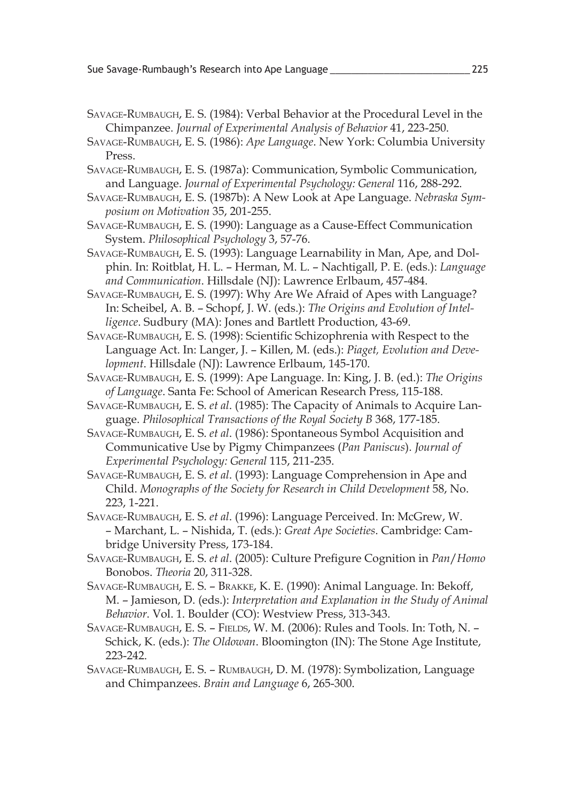- Savage-Rumbaugh, E. S. (1984): Verbal Behavior at the Procedural Level in the Chimpanzee. *Journal of Experimental Analysis of Behavior* 41, 223-250.
- Savage-Rumbaugh, E. S. (1986): *Ape Language*. New York: Columbia University Press.
- Savage-Rumbaugh, E. S. (1987a): Communication, Symbolic Communication, and Language. *Journal of Experimental Psychology: General* 116, 288-292.
- Savage-Rumbaugh, E. S. (1987b): A New Look at Ape Language. *Nebraska Symposium on Motivation* 35, 201-255.
- Savage-Rumbaugh, E. S. (1990): Language as a Cause-Effect Communication System. *Philosophical Psychology* 3, 57-76.
- Savage-Rumbaugh, E. S. (1993): Language Learnability in Man, Ape, and Dolphin. In: Roitblat, H. L. – Herman, M. L. – Nachtigall, P. E. (eds.): *Language and Communication*. Hillsdale (NJ): Lawrence Erlbaum, 457-484.
- Savage-Rumbaugh, E. S. (1997): Why Are We Afraid of Apes with Language? In: Scheibel, A. B. – Schopf, J. W. (eds.): *The Origins and Evolution of Intelligence*. Sudbury (MA): Jones and Bartlett Production, 43-69.
- Savage-Rumbaugh, E. S. (1998): Scientific Schizophrenia with Respect to the Language Act. In: Langer, J. – Killen, M. (eds.): *Piaget, Evolution and Development*. Hillsdale (NJ): Lawrence Erlbaum, 145-170.
- Savage-Rumbaugh, E. S. (1999): Ape Language. In: King, J. B. (ed.): *The Origins of Language*. Santa Fe: School of American Research Press, 115-188.
- Savage-Rumbaugh, E. S. *et al*. (1985): The Capacity of Animals to Acquire Language. *Philosophical Transactions of the Royal Society B* 368, 177-185.
- Savage-Rumbaugh, E. S. *et al*. (1986): Spontaneous Symbol Acquisition and Communicative Use by Pigmy Chimpanzees (*Pan Paniscus*). *Journal of Experimental Psychology: General* 115, 211-235.
- Savage-Rumbaugh, E. S. *et al*. (1993): Language Comprehension in Ape and Child. *Monographs of the Society for Research in Child Development* 58, No. 223, 1-221.
- Savage-Rumbaugh, E. S. *et al*. (1996): Language Perceived. In: McGrew, W. – Marchant, L. – Nishida, T. (eds.): *Great Ape Societies*. Cambridge: Cambridge University Press, 173-184.
- Savage-Rumbaugh, E. S. *et al*. (2005): Culture Prefigure Cognition in *Pan*/*Homo* Bonobos. *Theoria* 20, 311-328.
- Savage-Rumbaugh, E. S. Brakke, K. E. (1990): Animal Language. In: Bekoff, M. – Jamieson, D. (eds.): *Interpretation and Explanation in the Study of Animal Behavior*. Vol. 1. Boulder (CO): Westview Press, 313-343.
- SAVAGE-RUMBAUGH, E. S. FIELDS, W. M. (2006): Rules and Tools. In: Toth, N. Schick, K. (eds.): *The Oldowan*. Bloomington (IN): The Stone Age Institute, 223-242.
- Savage-Rumbaugh, E. S. Rumbaugh, D. M. (1978): Symbolization, Language and Chimpanzees. *Brain and Language* 6, 265-300.